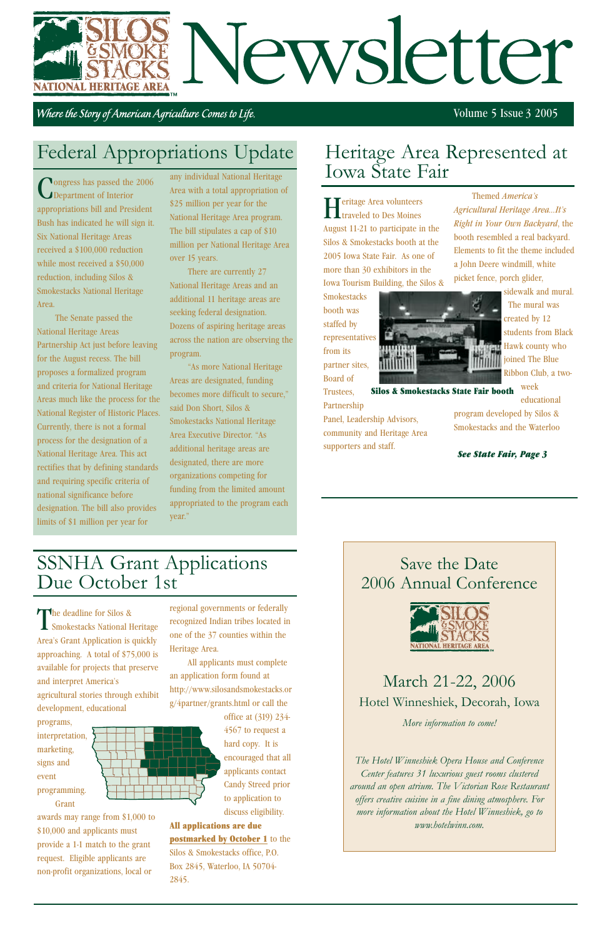# Newsletter NATIONAL HERITAGE AREA

Where the Story of American Agriculture Comes to Life.

### Save the Date 2006 Annual Conference



# March 21-22, 2006 Hotel Winneshiek, Decorah, Iowa

*More information to come!*

*The Hotel Winneshiek Opera House and Conference Center features 31 luxurious guest rooms clustered around an open atrium. The Victorian Rose Restaurant offers creative cuisine in a fine dining atmosphere. For more information about the Hotel Winneshiek, go to www.hotelwinn.com.*

**Smokestacks** booth was staffed by representatives from its partner sites, Board of Trustees,

Heritage Area volunteers traveled to Des Moines August 11-21 to participate in the Silos & Smokestacks booth at the 2005 Iowa State Fair. As one of more than 30 exhibitors in the Iowa Tourism Building, the Silos &

*Agricultural Heritage Area...It's Right in Your Own Backyard*, the booth resembled a real backyard. Elements to fit the theme included a John Deere windmill, white picket fence, porch glider, The mural was

The deadline for Silos &<br>Smokestacks National Heritage Area's Grant Application is quickly approaching. A total of \$75,000 is available for projects that preserve and interpret America's agricultural stories through exhibit development, educational

Themed *Americaís*



Panel, Leadership Advisors, community and Heritage Area supporters and staff. program developed by Silos & Smokestacks and the Waterloo

sidewalk and mural. created by 12 students from Black **Hawk** county who joined The Blue Ribbon Club, a two-

#### Volume 5 Issue 3 2005



awards may range from \$1,000 to \$10,000 and applicants must provide a 1-1 match to the grant request. Eligible applicants are non-profit organizations, local or

regional governments or federally recognized Indian tribes located in one of the 37 counties within the Heritage Area.

All applicants must complete an application form found at http://www.silosandsmokestacks.or g/4partner/grants.html or call the office at (319) 234- 4567 to request a hard copy. It is encouraged that all applicants contact Candy Streed prior to application to discuss eligibility. All applications are due postmarked by October 1 to the Silos & Smokestacks office, P.O. Box 2845, Waterloo, IA 50704- 2845.

# SSNHA Grant Applications Due October 1st

Partnership week educational Silos & Smokestacks State Fair booth

Congress has passed the 2006 Department of Interior appropriations bill and President Bush has indicated he will sign it. Six National Heritage Areas received a \$100,000 reduction while most received a \$50,000 reduction, including Silos & Smokestacks National Heritage Area.

The Senate passed the National Heritage Areas Partnership Act just before leaving for the August recess. The bill proposes a formalized program and criteria for National Heritage Areas much like the process for the National Register of Historic Places. Currently, there is not a formal process for the designation of a National Heritage Area. This act rectifies that by defining standards and requiring specific criteria of national significance before designation. The bill also provides limits of \$1 million per year for

any individual National Heritage Area with a total appropriation of \$25 million per year for the National Heritage Area program. The bill stipulates a cap of \$10 million per National Heritage Area over 15 years.

There are currently 27 National Heritage Areas and an additional 11 heritage areas are seeking federal designation. Dozens of aspiring heritage areas across the nation are observing the program.

"As more National Heritage Areas are designated, funding becomes more difficult to secure," said Don Short, Silos & Smokestacks National Heritage Area Executive Director. "As additional heritage areas are designated, there are more organizations competing for funding from the limited amount appropriated to the program each year."

## Heritage Area Represented at Iowa State Fair

*See State Fair, Page 3*

# Federal Appropriations Update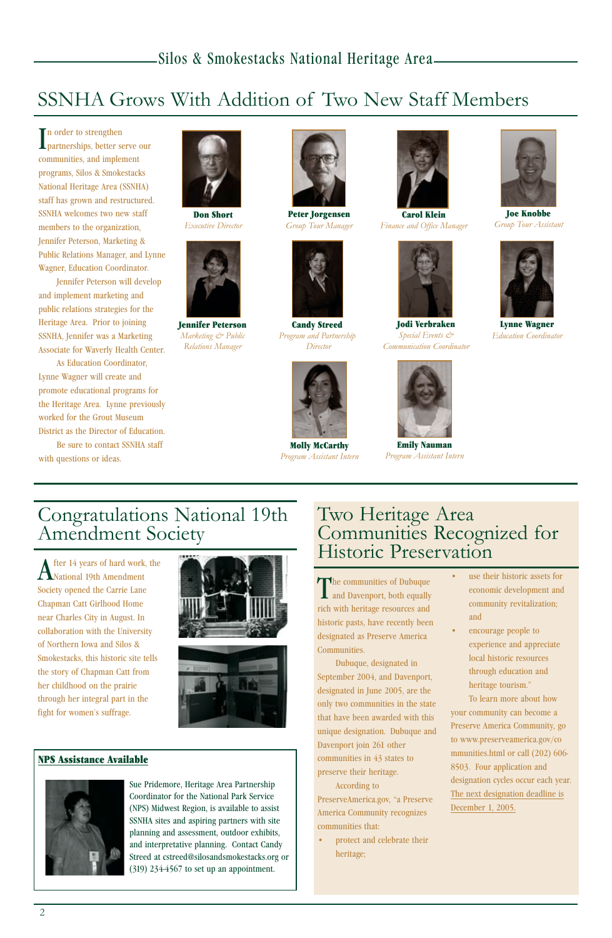After 14 years of hard work, the National 19th Amendment Society opened the Carrie Lane Chapman Catt Girlhood Home near Charles City in August. In collaboration with the University of Northern Iowa and Silos & Smokestacks, this historic site tells the story of Chapman Catt from

her childhood on the prairie through her integral part in the fight for women's suffrage.





In order to strengthen<br>partnerships, better serve our n order to strengthen communities, and implement programs, Silos & Smokestacks National Heritage Area (SSNHA) staff has grown and restructured. SSNHA welcomes two new staff members to the organization, Jennifer Peterson, Marketing & Public Relations Manager, and Lynne Wagner, Education Coordinator.

> The communities of Dubuque **L** and Davenport, both equally rich with heritage resources and historic pasts, have recently been designated as Preserve America Communities.

Jennifer Peterson will develop and implement marketing and public relations strategies for the Heritage Area. Prior to joining SSNHA, Jennifer was a Marketing Associate for Waverly Health Center.

> protect and celebrate their heritage;

- use their historic assets for economic development and community revitalization; and
- encourage people to experience and appreciate local historic resources through education and

As Education Coordinator, Lynne Wagner will create and promote educational programs for the Heritage Area. Lynne previously worked for the Grout Museum District as the Director of Education.

> heritage tourism.<sup>n</sup> To learn more about how your community can become a Preserve America Community, go to www.preserveamerica.gov/co mmunities.html or call (202) 606- 8503. Four application and designation cycles occur each year. The next designation deadline is December 1, 2005.

Be sure to contact SSNHA staff with questions or ideas.

> Dubuque, designated in September 2004, and Davenport, designated in June 2005, are the only two communities in the state that have been awarded with this unique designation. Dubuque and Davenport join 261 other communities in 43 states to preserve their heritage. According to PreserveAmerica.gov, "a Preserve America Community recognizes

communities that:

### Two Heritage Area Communities Recognized for Historic Preservation

# SSNHA Grows With Addition of Two New Staff Members

#### NPS Assistance Available



Sue Pridemore, Heritage Area Partnership Coordinator for the National Park Service (NPS) Midwest Region, is available to assist SSNHA sites and aspiring partners with site planning and assessment, outdoor exhibits, and interpretative planning. Contact Candy Streed at cstreed@silosandsmokestacks.org or (319) 234-4567 to set up an appointment.



Don Short *Executive Director*



Peter Jorgensen *Group Tour Manager*



Carol Klein *Finance and Office Manager*



Joe Knobbe *Group Tour Assistant*



Jennifer Peterson *Marketing & Public Relations Manager*



Candy Streed *Program and Partnership Director*



Jodi Verbraken *Special Events & Communication Coordinator*



Lynne Wagner *Education Coordinator*



Molly McCarthy *Program Assistant Intern*



Emily Nauman *Program Assistant Intern*

# Congratulations National 19th Amendment Society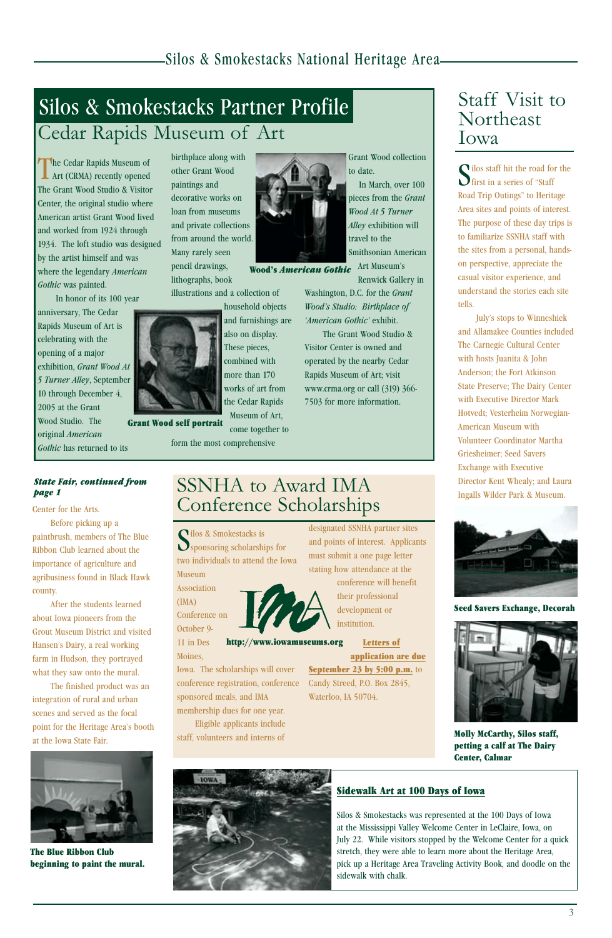#### Sidewalk Art at 100 Days of Iowa

Silos & Smokestacks was represented at the 100 Days of Iowa at the Mississippi Valley Welcome Center in LeClaire, Iowa, on July 22. While visitors stopped by the Welcome Center for a quick stretch, they were able to learn more about the Heritage Area, pick up a Heritage Area Traveling Activity Book, and doodle on the sidewalk with chalk.

Road Trip Outings" to Heritage Area sites and points of interest. The purpose of these day trips is to familiarize SSNHA staff with

July's stops to Winneshiek and Allamakee Counties included The Carnegie Cultural Center with hosts Juanita & John Anderson; the Fort Atkinson State Preserve; The Dairy Center with Executive Director Mark Hotvedt; Vesterheim Norwegian-American Museum with Volunteer Coordinator Martha Griesheimer; Seed Savers Exchange with Executive Director Kent Whealy; and Laura Ingalls Wilder Park & Museum.

Silos staff hit the road for the<br>Strist in a series of "Staff"  $\bigcup$  first in a series of "Staff

the sites from a personal, handson perspective, appreciate the casual visitor experience, and understand the stories each site tells.

The Cedar Rapids Museum of **L** Art (CRMA) recently opened The Grant Wood Studio & Visitor Center, the original studio where American artist Grant Wood lived and worked from 1924 through 1934. The loft studio was designed by the artist himself and was where the legendary *American Gothic* was painted.

Washington, D.C. for the *Grant Woodís Studio: Birthplace of 'American Gothic'* exhibit.

In honor of its 100 year anniversary, The Cedar Rapids Museum of Art is celebrating with the opening of a major exhibition, *Grant Wood At 5 Turner Alley*, September 10 through December 4, 2005 at the Grant Wood Studio. The original *American Gothic* has returned to its

> Silos & Smokestacks is<br>Sponsoring scholarships for ilos & Smokestacks is two individuals to attend the Iowa Museum

birthplace along with other Grant Wood paintings and decorative works on loan from museums and private collections from around the world. Many rarely seen pencil drawings, lithographs, book

# Silos & Smokestacks Partner Profile Cedar Rapids Museum of Art

illustrations and a collection of

household objects and furnishings are also on display. These pieces, combined with more than 170

> works of art from the Cedar Rapids Museum of Art, come together to

Wood's *American Gothic* Art Museum's

form the most comprehensive



Grant Wood collection to date.

In March, over 100 pieces from the *Grant Wood At 5 Turner Alley* exhibition will travel to the Smithsonian American

Renwick Gallery in

The Grant Wood Studio & Visitor Center is owned and operated by the nearby Cedar Rapids Museum of Art; visit www.crma.org or call (319) 366- 7503 for more information.

Staff Visit to

Northeast

Iowa

Grant Wood self portrait



Seed Savers Exchange, Decorah



#### Molly McCarthy, Silos staff, petting a calf at The Dairy Center, Calmar

Center for the Arts.

Before picking up a paintbrush, members of The Blue Ribbon Club learned about the importance of agriculture and agribusiness found in Black Hawk county.

After the students learned about Iowa pioneers from the Grout Museum District and visited Hansen's Dairy, a real working farm in Hudson, they portrayed what they saw onto the mural. The finished product was an integration of rural and urban scenes and served as the focal point for the Heritage Area's booth at the Iowa State Fair.



The Blue Ribbon Club beginning to paint the mural.



*State Fair, continued from page 1*

> Association (IMA) Conference on

October 9- 11 in Des

Moines,

Iowa. The scholarships will cover

conference registration, conference sponsored meals, and IMA membership dues for one year. Eligible applicants include staff, volunteers and interns of

designated SSNHA partner sites and points of interest. Applicants must submit a one page letter stating how attendance at the conference will benefit their professional development or institution.

Candy Streed, P.O. Box 2845, Waterloo, IA 50704.

Letters of application are due September 23 by 5:00 p.m. to http://www.iowamuseums.org

### SSNHA to Award IMA Conference Scholarships